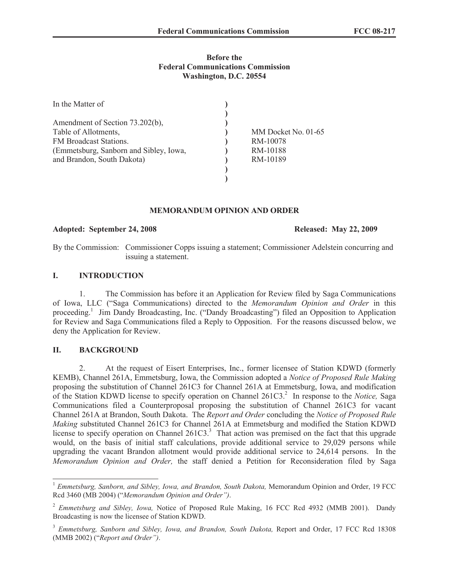## **Before the Federal Communications Commission Washington, D.C. 20554**

| In the Matter of                       |                     |
|----------------------------------------|---------------------|
|                                        |                     |
| Amendment of Section 73.202(b),        |                     |
| Table of Allotments,                   | MM Docket No. 01-65 |
| FM Broadcast Stations.                 | RM-10078            |
| (Emmetsburg, Sanborn and Sibley, Iowa, | RM-10188            |
| and Brandon, South Dakota)             | RM-10189            |
|                                        |                     |
|                                        |                     |

#### **MEMORANDUM OPINION AND ORDER**

#### **Adopted: September 24, 2008 Released: May 22, 2009**

By the Commission: Commissioner Copps issuing a statement; Commissioner Adelstein concurring and issuing a statement.

## **I. INTRODUCTION**

1. The Commission has before it an Application for Review filed by Saga Communications of Iowa, LLC ("Saga Communications) directed to the *Memorandum Opinion and Order* in this proceeding.<sup>1</sup> Jim Dandy Broadcasting, Inc. ("Dandy Broadcasting") filed an Opposition to Application for Review and Saga Communications filed a Reply to Opposition. For the reasons discussed below, we deny the Application for Review.

### **II. BACKGROUND**

2. At the request of Eisert Enterprises, Inc., former licensee of Station KDWD (formerly KEMB), Channel 261A, Emmetsburg, Iowa, the Commission adopted a *Notice of Proposed Rule Making*  proposing the substitution of Channel 261C3 for Channel 261A at Emmetsburg, Iowa, and modification of the Station KDWD license to specify operation on Channel 261C3.<sup>2</sup> In response to the *Notice*, Saga Communications filed a Counterproposal proposing the substitution of Channel 261C3 for vacant Channel 261A at Brandon, South Dakota. The *Report and Order* concluding the *Notice of Proposed Rule Making* substituted Channel 261C3 for Channel 261A at Emmetsburg and modified the Station KDWD license to specify operation on Channel 261C3.<sup>3</sup> That action was premised on the fact that this upgrade would, on the basis of initial staff calculations, provide additional service to 29,029 persons while upgrading the vacant Brandon allotment would provide additional service to 24,614 persons. In the *Memorandum Opinion and Order,* the staff denied a Petition for Reconsideration filed by Saga

<sup>&</sup>lt;sup>1</sup> *Emmetsburg, Sanborn, and Sibley, Iowa, and Brandon, South Dakota, Memorandum Opinion and Order, 19 FCC* Rcd 3460 (MB 2004) ("*Memorandum Opinion and Order")*.

<sup>2</sup> *Emmetsburg and Sibley, Iowa,* Notice of Proposed Rule Making, 16 FCC Rcd 4932 (MMB 2001). Dandy Broadcasting is now the licensee of Station KDWD.

<sup>3</sup> *Emmetsburg, Sanborn and Sibley, Iowa, and Brandon, South Dakota,* Report and Order, 17 FCC Rcd 18308 (MMB 2002) ("*Report and Order")*.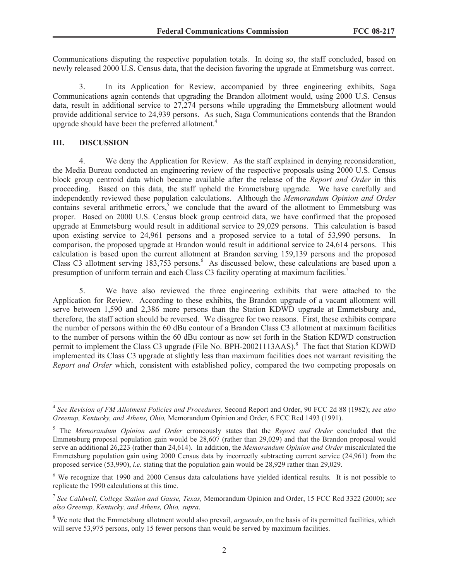Communications disputing the respective population totals. In doing so, the staff concluded, based on newly released 2000 U.S. Census data, that the decision favoring the upgrade at Emmetsburg was correct.

3. In its Application for Review, accompanied by three engineering exhibits, Saga Communications again contends that upgrading the Brandon allotment would, using 2000 U.S. Census data, result in additional service to 27,274 persons while upgrading the Emmetsburg allotment would provide additional service to 24,939 persons. As such, Saga Communications contends that the Brandon upgrade should have been the preferred allotment.<sup>4</sup>

## **III. DISCUSSION**

4. We deny the Application for Review. As the staff explained in denying reconsideration, the Media Bureau conducted an engineering review of the respective proposals using 2000 U.S. Census block group centroid data which became available after the release of the *Report and Order* in this proceeding. Based on this data, the staff upheld the Emmetsburg upgrade. We have carefully and independently reviewed these population calculations. Although the *Memorandum Opinion and Order* contains several arithmetic errors,<sup>5</sup> we conclude that the award of the allotment to Emmetsburg was proper. Based on 2000 U.S. Census block group centroid data, we have confirmed that the proposed upgrade at Emmetsburg would result in additional service to 29,029 persons. This calculation is based upon existing service to 24,961 persons and a proposed service to a total of 53,990 persons. In comparison, the proposed upgrade at Brandon would result in additional service to 24,614 persons. This calculation is based upon the current allotment at Brandon serving 159,139 persons and the proposed Class C3 allotment serving 183,753 persons.<sup>6</sup> As discussed below, these calculations are based upon a presumption of uniform terrain and each Class C3 facility operating at maximum facilities.<sup>7</sup>

5. We have also reviewed the three engineering exhibits that were attached to the Application for Review. According to these exhibits, the Brandon upgrade of a vacant allotment will serve between 1,590 and 2,386 more persons than the Station KDWD upgrade at Emmetsburg and, therefore, the staff action should be reversed. We disagree for two reasons. First, these exhibits compare the number of persons within the 60 dBu contour of a Brandon Class C3 allotment at maximum facilities to the number of persons within the 60 dBu contour as now set forth in the Station KDWD construction permit to implement the Class C3 upgrade (File No. BPH-20021113AAS).<sup>8</sup> The fact that Station KDWD implemented its Class C3 upgrade at slightly less than maximum facilities does not warrant revisiting the *Report and Order* which, consistent with established policy, compared the two competing proposals on

<sup>4</sup> *See Revision of FM Allotment Policies and Procedures,* Second Report and Order, 90 FCC 2d 88 (1982); *see also Greenup, Kentucky, and Athens, Ohio,* Memorandum Opinion and Order, 6 FCC Rcd 1493 (1991).

<sup>5</sup> The *Memorandum Opinion and Order* erroneously states that the *Report and Order* concluded that the Emmetsburg proposal population gain would be 28,607 (rather than 29,029) and that the Brandon proposal would serve an additional 26,223 (rather than 24,614). In addition, the *Memorandum Opinion and Order* miscalculated the Emmetsburg population gain using 2000 Census data by incorrectly subtracting current service (24,961) from the proposed service (53,990), *i.e.* stating that the population gain would be 28,929 rather than 29,029.

<sup>&</sup>lt;sup>6</sup> We recognize that 1990 and 2000 Census data calculations have yielded identical results. It is not possible to replicate the 1990 calculations at this time.

<sup>7</sup> *See Caldwell, College Station and Gause, Texas,* Memorandum Opinion and Order, 15 FCC Rcd 3322 (2000); *see also Greenup, Kentucky, and Athens, Ohio, supra*.

<sup>&</sup>lt;sup>8</sup> We note that the Emmetsburg allotment would also prevail, *arguendo*, on the basis of its permitted facilities, which will serve 53,975 persons, only 15 fewer persons than would be served by maximum facilities.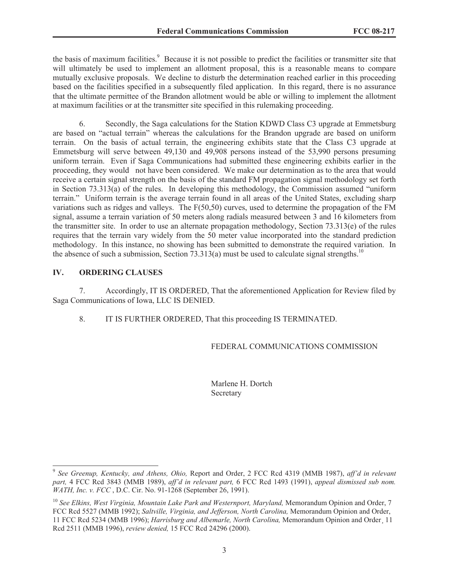the basis of maximum facilities.<sup>9</sup> Because it is not possible to predict the facilities or transmitter site that will ultimately be used to implement an allotment proposal, this is a reasonable means to compare mutually exclusive proposals. We decline to disturb the determination reached earlier in this proceeding based on the facilities specified in a subsequently filed application. In this regard, there is no assurance that the ultimate permittee of the Brandon allotment would be able or willing to implement the allotment at maximum facilities or at the transmitter site specified in this rulemaking proceeding.

6. Secondly, the Saga calculations for the Station KDWD Class C3 upgrade at Emmetsburg are based on "actual terrain" whereas the calculations for the Brandon upgrade are based on uniform terrain. On the basis of actual terrain, the engineering exhibits state that the Class C3 upgrade at Emmetsburg will serve between 49,130 and 49,908 persons instead of the 53,990 persons presuming uniform terrain. Even if Saga Communications had submitted these engineering exhibits earlier in the proceeding, they would not have been considered. We make our determination as to the area that would receive a certain signal strength on the basis of the standard FM propagation signal methodology set forth in Section 73.313(a) of the rules. In developing this methodology, the Commission assumed "uniform terrain." Uniform terrain is the average terrain found in all areas of the United States, excluding sharp variations such as ridges and valleys. The F(50,50) curves, used to determine the propagation of the FM signal, assume a terrain variation of 50 meters along radials measured between 3 and 16 kilometers from the transmitter site. In order to use an alternate propagation methodology, Section 73.313(e) of the rules requires that the terrain vary widely from the 50 meter value incorporated into the standard prediction methodology. In this instance, no showing has been submitted to demonstrate the required variation. In the absence of such a submission, Section 73.313(a) must be used to calculate signal strengths.<sup>10</sup>

# **IV. ORDERING CLAUSES**

7. Accordingly, IT IS ORDERED, That the aforementioned Application for Review filed by Saga Communications of Iowa, LLC IS DENIED.

8. IT IS FURTHER ORDERED, That this proceeding IS TERMINATED.

FEDERAL COMMUNICATIONS COMMISSION

Marlene H. Dortch Secretary

<sup>9</sup> *See Greenup, Kentucky, and Athens, Ohio,* Report and Order, 2 FCC Rcd 4319 (MMB 1987), *aff'd in relevant part,* 4 FCC Rcd 3843 (MMB 1989), *aff'd in relevant part,* 6 FCC Rcd 1493 (1991), *appeal dismissed sub nom. WATH, Inc. v. FCC* , D.C. Cir. No. 91-1268 (September 26, 1991).

<sup>&</sup>lt;sup>10</sup> See Elkins, West Virginia, Mountain Lake Park and Westernport, Maryland, Memorandum Opinion and Order, 7 FCC Rcd 5527 (MMB 1992); *Saltville, Virginia, and Jefferson, North Carolina,* Memorandum Opinion and Order, 11 FCC Rcd 5234 (MMB 1996); *Harrisburg and Albemarle, North Carolina,* Memorandum Opinion and Order¸ 11 Rcd 2511 (MMB 1996), *review denied,* 15 FCC Rcd 24296 (2000).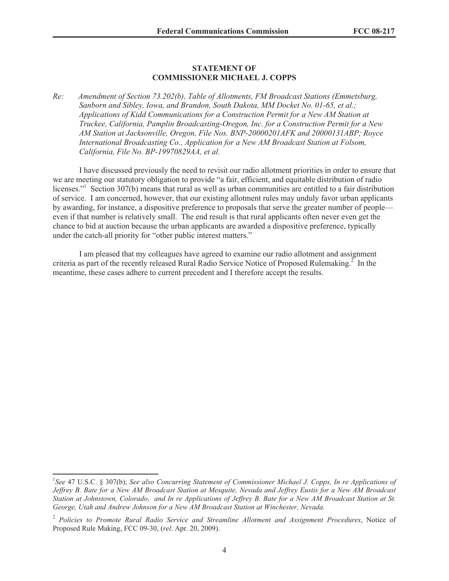## **STATEMENT OF COMMISSIONER MICHAEL J. COPPS**

*Re: Amendment of Section 73.202(b), Table of Allotments, FM Broadcast Stations (Emmetsburg, Sanborn and Sibley, Iowa, and Brandon, South Dakota, MM Docket No. 01-65, et al.; Applications of Kidd Communications for a Construction Permit for a New AM Station at Truckee, California, Pamplin Broadcasting-Oregon, Inc. for a Construction Permit for a New AM Station at Jacksonville, Oregon, File Nos. BNP-20000201AFK and 20000131ABP; Royce International Broadcasting Co., Application for a New AM Broadcast Station at Folsom, California, File No. BP-19970829AA, et al.*

I have discussed previously the need to revisit our radio allotment priorities in order to ensure that we are meeting our statutory obligation to provide "a fair, efficient, and equitable distribution of radio licenses."<sup>1</sup> Section 307(b) means that rural as well as urban communities are entitled to a fair distribution of service. I am concerned, however, that our existing allotment rules may unduly favor urban applicants by awarding, for instance, a dispositive preference to proposals that serve the greater number of people even if that number is relatively small. The end result is that rural applicants often never even get the chance to bid at auction because the urban applicants are awarded a dispositive preference, typically under the catch-all priority for "other public interest matters."

I am pleased that my colleagues have agreed to examine our radio allotment and assignment criteria as part of the recently released Rural Radio Service Notice of Proposed Rulemaking.<sup>2</sup> In the meantime, these cases adhere to current precedent and I therefore accept the results.

<sup>&</sup>lt;sup>1</sup>See 47 U.S.C. § 307(b); *See also Concurring Statement of Commissioner Michael J. Copps, In re Applications of Jeffrey B. Bate for a New AM Broadcast Station at Mesquite, Nevada and Jeffrey Eustis for a New AM Broadcast Station at Johnstown, Colorado, and In re Applications of Jeffrey B. Bate for a New AM Broadcast Station at St. George, Utah and Andrew Johnson for a New AM Broadcast Station at Winchester, Nevada.*

<sup>2</sup> *Policies to Promote Rural Radio Service and Streamline Allotment and Assignment Procedures*, Notice of Proposed Rule Making, FCC 09-30, (*rel*. Apr. 20, 2009).